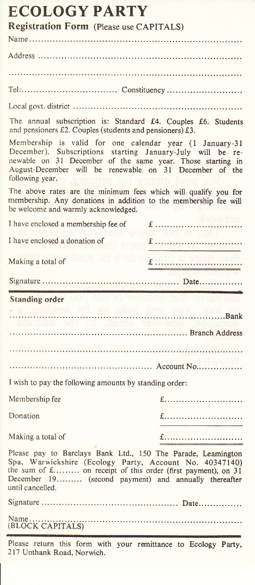| <b>ECOLOGY PARTY</b><br><b>Registration Form (Please use CAPITALS)</b>                                                                                                                                                                                              |                                           |
|---------------------------------------------------------------------------------------------------------------------------------------------------------------------------------------------------------------------------------------------------------------------|-------------------------------------------|
|                                                                                                                                                                                                                                                                     |                                           |
|                                                                                                                                                                                                                                                                     |                                           |
|                                                                                                                                                                                                                                                                     |                                           |
|                                                                                                                                                                                                                                                                     |                                           |
|                                                                                                                                                                                                                                                                     |                                           |
| The annual subscription is: Standard £4. Couples £6. Students<br>and pensioners £2. Couples (students and pensioners) £3.                                                                                                                                           |                                           |
| Membership is valid for one calendar year (1 January-31<br>December). Subscriptions starting January-July will be re-<br>newable on 31 December of the same year. Those starting in<br>August-December will be renewable on 31 December of the<br>following year.   |                                           |
| The above rates are the minimum fees which will qualify you for<br>membership. Any donations in addition to the membership fee will<br>be welcome and warmly acknowledged.                                                                                          |                                           |
| I have enclosed a membership fee of                                                                                                                                                                                                                                 |                                           |
| I have enclosed a donation of                                                                                                                                                                                                                                       | FT 31 35<br>£                             |
| Making a total of                                                                                                                                                                                                                                                   | bnA ,ni ii ob o <b>gumil al manifican</b> |
|                                                                                                                                                                                                                                                                     |                                           |
| Standing order NOV JOHNS TO TELLOWS AUT                                                                                                                                                                                                                             |                                           |
|                                                                                                                                                                                                                                                                     |                                           |
| the sen of the tra<br>Branch Address                                                                                                                                                                                                                                | <b>IDVS WOR</b>                           |
|                                                                                                                                                                                                                                                                     |                                           |
|                                                                                                                                                                                                                                                                     |                                           |
|                                                                                                                                                                                                                                                                     |                                           |
| I wish to pay the following amounts by standing order:                                                                                                                                                                                                              |                                           |
| Membership fee                                                                                                                                                                                                                                                      | £                                         |
| Donation                                                                                                                                                                                                                                                            | £                                         |
| Making a total of                                                                                                                                                                                                                                                   | £                                         |
| Please pay to Barclays Bank Ltd., 150 The Parade, Leamington<br>Spa, Warwickshire (Ecology Party, Account No. 40347140)<br>the sum of £ on receipt of this order (first payment), on 31<br>December 19 (second payment) and annually thereafter<br>until cancelled. |                                           |
|                                                                                                                                                                                                                                                                     |                                           |
|                                                                                                                                                                                                                                                                     |                                           |
| Please return this form with your remittance to Ecology Party,<br>217 Unthank Road, Norwich.                                                                                                                                                                        |                                           |